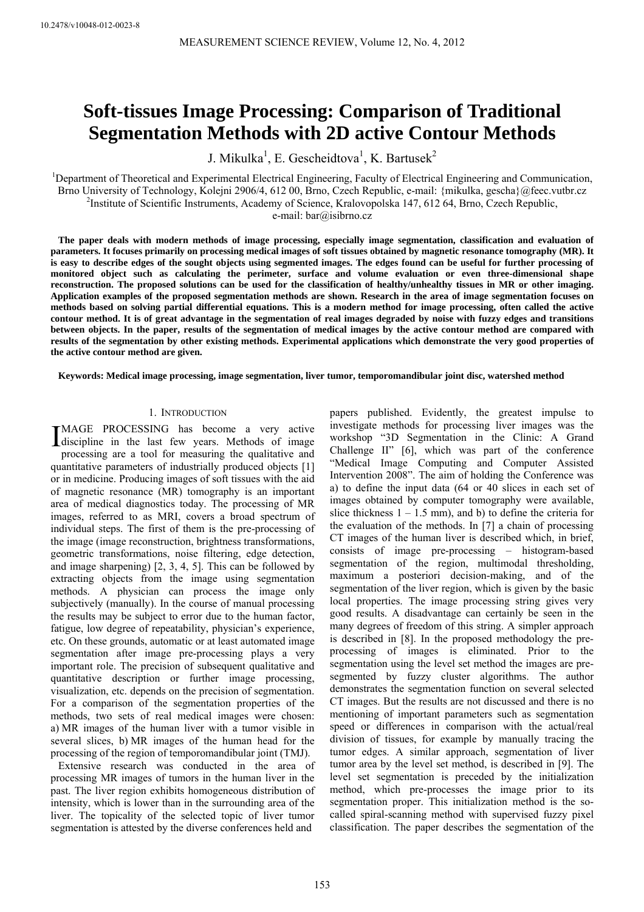# **Soft-tissues Image Processing: Comparison of Traditional Segmentation Methods with 2D active Contour Methods**

J. Mikulka<sup>1</sup>, E. Gescheidtova<sup>1</sup>, K. Bartusek<sup>2</sup>

<sup>1</sup>Department of Theoretical and Experimental Electrical Engineering, Faculty of Electrical Engineering and Communication, Brno University of Technology, Kolejni 2906/4, 612 00, Brno, Czech Republic, e-mail: {mikulka, gescha}@feec.vutbr.cz Institute of Scientific Instruments, Academy of Science, Kralovopolska 147, 612 64, Brno, Czech Republic, e-mail: bar@isibrno.cz

**The paper deals with modern methods of image processing, especially image segmentation, classification and evaluation of parameters. It focuses primarily on processing medical images of soft tissues obtained by magnetic resonance tomography (MR). It is easy to describe edges of the sought objects using segmented images. The edges found can be useful for further processing of monitored object such as calculating the perimeter, surface and volume evaluation or even three-dimensional shape reconstruction. The proposed solutions can be used for the classification of healthy/unhealthy tissues in MR or other imaging. Application examples of the proposed segmentation methods are shown. Research in the area of image segmentation focuses on methods based on solving partial differential equations. This is a modern method for image processing, often called the active contour method. It is of great advantage in the segmentation of real images degraded by noise with fuzzy edges and transitions between objects. In the paper, results of the segmentation of medical images by the active contour method are compared with results of the segmentation by other existing methods. Experimental applications which demonstrate the very good properties of the active contour method are given.** 

**Keywords: Medical image processing, image segmentation, liver tumor, temporomandibular joint disc, watershed method** 

### 1. INTRODUCTION

MAGE PROCESSING has become a very active IMAGE PROCESSING has become a very active discipline in the last few years. Methods of image processing are a tool for measuring the qualitative and quantitative parameters of industrially produced objects [1] or in medicine. Producing images of soft tissues with the aid of magnetic resonance (MR) tomography is an important area of medical diagnostics today. The processing of MR images, referred to as MRI, covers a broad spectrum of individual steps. The first of them is the pre-processing of the image (image reconstruction, brightness transformations, geometric transformations, noise filtering, edge detection, and image sharpening) [2, 3, 4, 5]. This can be followed by extracting objects from the image using segmentation methods. A physician can process the image only subjectively (manually). In the course of manual processing the results may be subject to error due to the human factor, fatigue, low degree of repeatability, physician's experience, etc. On these grounds, automatic or at least automated image segmentation after image pre-processing plays a very important role. The precision of subsequent qualitative and quantitative description or further image processing, visualization, etc. depends on the precision of segmentation. For a comparison of the segmentation properties of the methods, two sets of real medical images were chosen: a) MR images of the human liver with a tumor visible in several slices, b) MR images of the human head for the processing of the region of temporomandibular joint (TMJ).

Extensive research was conducted in the area of processing MR images of tumors in the human liver in the past. The liver region exhibits homogeneous distribution of intensity, which is lower than in the surrounding area of the liver. The topicality of the selected topic of liver tumor segmentation is attested by the diverse conferences held and

papers published. Evidently, the greatest impulse to investigate methods for processing liver images was the workshop "3D Segmentation in the Clinic: A Grand Challenge II" [6], which was part of the conference "Medical Image Computing and Computer Assisted Intervention 2008". The aim of holding the Conference was a) to define the input data (64 or 40 slices in each set of images obtained by computer tomography were available, slice thickness  $1 - 1.5$  mm), and b) to define the criteria for the evaluation of the methods. In [7] a chain of processing CT images of the human liver is described which, in brief, consists of image pre-processing – histogram-based segmentation of the region, multimodal thresholding, maximum a posteriori decision-making, and of the segmentation of the liver region, which is given by the basic local properties. The image processing string gives very good results. A disadvantage can certainly be seen in the many degrees of freedom of this string. A simpler approach is described in [8]. In the proposed methodology the preprocessing of images is eliminated. Prior to the segmentation using the level set method the images are presegmented by fuzzy cluster algorithms. The author demonstrates the segmentation function on several selected CT images. But the results are not discussed and there is no mentioning of important parameters such as segmentation speed or differences in comparison with the actual/real division of tissues, for example by manually tracing the tumor edges. A similar approach, segmentation of liver tumor area by the level set method, is described in [9]. The level set segmentation is preceded by the initialization method, which pre-processes the image prior to its segmentation proper. This initialization method is the socalled spiral-scanning method with supervised fuzzy pixel classification. The paper describes the segmentation of the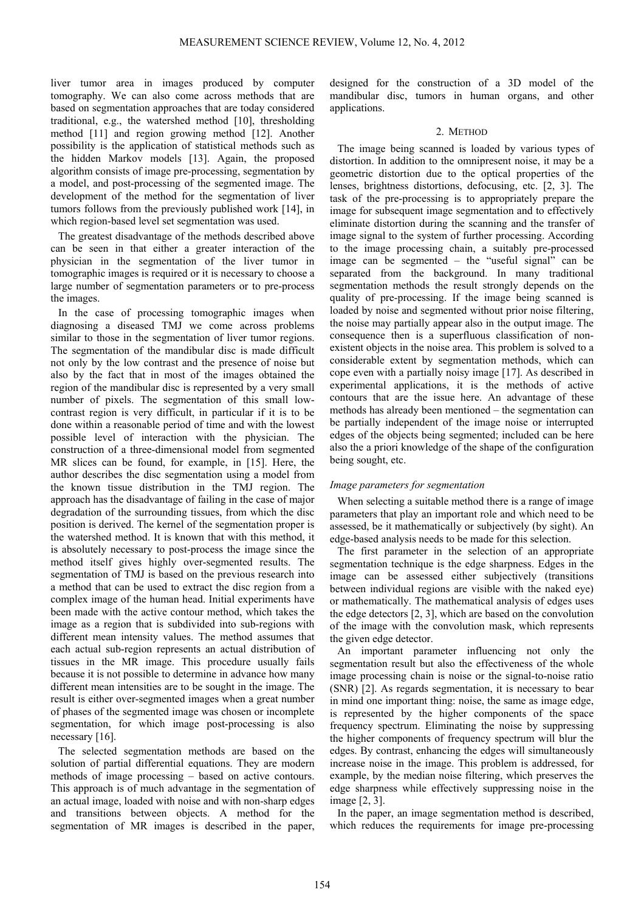liver tumor area in images produced by computer tomography. We can also come across methods that are based on segmentation approaches that are today considered traditional, e.g., the watershed method [10], thresholding method [11] and region growing method [12]. Another possibility is the application of statistical methods such as the hidden Markov models [13]. Again, the proposed algorithm consists of image pre-processing, segmentation by a model, and post-processing of the segmented image. The development of the method for the segmentation of liver tumors follows from the previously published work [14], in which region-based level set segmentation was used.

The greatest disadvantage of the methods described above can be seen in that either a greater interaction of the physician in the segmentation of the liver tumor in tomographic images is required or it is necessary to choose a large number of segmentation parameters or to pre-process the images.

In the case of processing tomographic images when diagnosing a diseased TMJ we come across problems similar to those in the segmentation of liver tumor regions. The segmentation of the mandibular disc is made difficult not only by the low contrast and the presence of noise but also by the fact that in most of the images obtained the region of the mandibular disc is represented by a very small number of pixels. The segmentation of this small lowcontrast region is very difficult, in particular if it is to be done within a reasonable period of time and with the lowest possible level of interaction with the physician. The construction of a three-dimensional model from segmented MR slices can be found, for example, in [15]. Here, the author describes the disc segmentation using a model from the known tissue distribution in the TMJ region. The approach has the disadvantage of failing in the case of major degradation of the surrounding tissues, from which the disc position is derived. The kernel of the segmentation proper is the watershed method. It is known that with this method, it is absolutely necessary to post-process the image since the method itself gives highly over-segmented results. The segmentation of TMJ is based on the previous research into a method that can be used to extract the disc region from a complex image of the human head. Initial experiments have been made with the active contour method, which takes the image as a region that is subdivided into sub-regions with different mean intensity values. The method assumes that each actual sub-region represents an actual distribution of tissues in the MR image. This procedure usually fails because it is not possible to determine in advance how many different mean intensities are to be sought in the image. The result is either over-segmented images when a great number of phases of the segmented image was chosen or incomplete segmentation, for which image post-processing is also necessary [16].

The selected segmentation methods are based on the solution of partial differential equations. They are modern methods of image processing – based on active contours. This approach is of much advantage in the segmentation of an actual image, loaded with noise and with non-sharp edges and transitions between objects. A method for the segmentation of MR images is described in the paper,

designed for the construction of a 3D model of the mandibular disc, tumors in human organs, and other applications.

# 2. METHOD

The image being scanned is loaded by various types of distortion. In addition to the omnipresent noise, it may be a geometric distortion due to the optical properties of the lenses, brightness distortions, defocusing, etc. [2, 3]. The task of the pre-processing is to appropriately prepare the image for subsequent image segmentation and to effectively eliminate distortion during the scanning and the transfer of image signal to the system of further processing. According to the image processing chain, a suitably pre-processed image can be segmented – the "useful signal" can be separated from the background. In many traditional segmentation methods the result strongly depends on the quality of pre-processing. If the image being scanned is loaded by noise and segmented without prior noise filtering, the noise may partially appear also in the output image. The consequence then is a superfluous classification of nonexistent objects in the noise area. This problem is solved to a considerable extent by segmentation methods, which can cope even with a partially noisy image [17]. As described in experimental applications, it is the methods of active contours that are the issue here. An advantage of these methods has already been mentioned – the segmentation can be partially independent of the image noise or interrupted edges of the objects being segmented; included can be here also the a priori knowledge of the shape of the configuration being sought, etc.

# *Image parameters for segmentation*

When selecting a suitable method there is a range of image parameters that play an important role and which need to be assessed, be it mathematically or subjectively (by sight). An edge-based analysis needs to be made for this selection.

The first parameter in the selection of an appropriate segmentation technique is the edge sharpness. Edges in the image can be assessed either subjectively (transitions between individual regions are visible with the naked eye) or mathematically. The mathematical analysis of edges uses the edge detectors [2, 3], which are based on the convolution of the image with the convolution mask, which represents the given edge detector.

An important parameter influencing not only the segmentation result but also the effectiveness of the whole image processing chain is noise or the signal-to-noise ratio (SNR) [2]. As regards segmentation, it is necessary to bear in mind one important thing: noise, the same as image edge, is represented by the higher components of the space frequency spectrum. Eliminating the noise by suppressing the higher components of frequency spectrum will blur the edges. By contrast, enhancing the edges will simultaneously increase noise in the image. This problem is addressed, for example, by the median noise filtering, which preserves the edge sharpness while effectively suppressing noise in the image [2, 3].

In the paper, an image segmentation method is described, which reduces the requirements for image pre-processing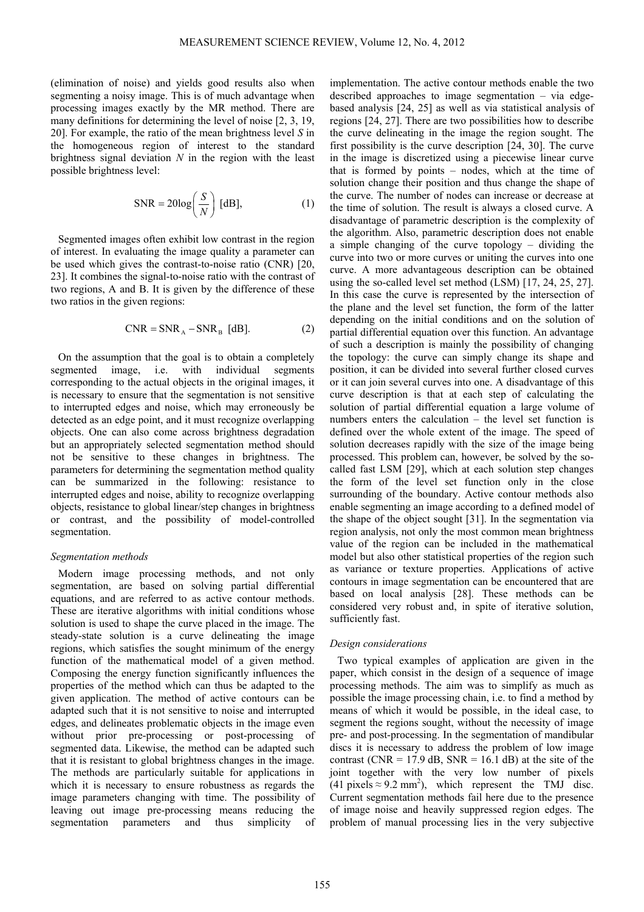(elimination of noise) and yields good results also when segmenting a noisy image. This is of much advantage when processing images exactly by the MR method. There are many definitions for determining the level of noise [2, 3, 19, 20]. For example, the ratio of the mean brightness level *S* in the homogeneous region of interest to the standard brightness signal deviation *N* in the region with the least possible brightness level:

$$
SNR = 20\log\left(\frac{S}{N}\right)
$$
 [dB], (1)

Segmented images often exhibit low contrast in the region of interest. In evaluating the image quality a parameter can be used which gives the contrast-to-noise ratio (CNR) [20, 23]. It combines the signal-to-noise ratio with the contrast of two regions, A and B. It is given by the difference of these two ratios in the given regions:

$$
CNR = SNR_A - SNR_B \text{ [dB]}.
$$
 (2)

On the assumption that the goal is to obtain a completely segmented image, i.e. with individual segments corresponding to the actual objects in the original images, it is necessary to ensure that the segmentation is not sensitive to interrupted edges and noise, which may erroneously be detected as an edge point, and it must recognize overlapping objects. One can also come across brightness degradation but an appropriately selected segmentation method should not be sensitive to these changes in brightness. The parameters for determining the segmentation method quality can be summarized in the following: resistance to interrupted edges and noise, ability to recognize overlapping objects, resistance to global linear/step changes in brightness or contrast, and the possibility of model-controlled segmentation.

# *Segmentation methods*

Modern image processing methods, and not only segmentation, are based on solving partial differential equations, and are referred to as active contour methods. These are iterative algorithms with initial conditions whose solution is used to shape the curve placed in the image. The steady-state solution is a curve delineating the image regions, which satisfies the sought minimum of the energy function of the mathematical model of a given method. Composing the energy function significantly influences the properties of the method which can thus be adapted to the given application. The method of active contours can be adapted such that it is not sensitive to noise and interrupted edges, and delineates problematic objects in the image even without prior pre-processing or post-processing of segmented data. Likewise, the method can be adapted such that it is resistant to global brightness changes in the image. The methods are particularly suitable for applications in which it is necessary to ensure robustness as regards the image parameters changing with time. The possibility of leaving out image pre-processing means reducing the segmentation parameters and thus simplicity of implementation. The active contour methods enable the two described approaches to image segmentation – via edgebased analysis [24, 25] as well as via statistical analysis of regions [24, 27]. There are two possibilities how to describe the curve delineating in the image the region sought. The first possibility is the curve description [24, 30]. The curve in the image is discretized using a piecewise linear curve that is formed by points – nodes, which at the time of solution change their position and thus change the shape of the curve. The number of nodes can increase or decrease at the time of solution. The result is always a closed curve. A disadvantage of parametric description is the complexity of the algorithm. Also, parametric description does not enable a simple changing of the curve topology – dividing the curve into two or more curves or uniting the curves into one curve. A more advantageous description can be obtained using the so-called level set method (LSM) [17, 24, 25, 27]. In this case the curve is represented by the intersection of the plane and the level set function, the form of the latter depending on the initial conditions and on the solution of partial differential equation over this function. An advantage of such a description is mainly the possibility of changing the topology: the curve can simply change its shape and position, it can be divided into several further closed curves or it can join several curves into one. A disadvantage of this curve description is that at each step of calculating the solution of partial differential equation a large volume of numbers enters the calculation – the level set function is defined over the whole extent of the image. The speed of solution decreases rapidly with the size of the image being processed. This problem can, however, be solved by the socalled fast LSM [29], which at each solution step changes the form of the level set function only in the close surrounding of the boundary. Active contour methods also enable segmenting an image according to a defined model of the shape of the object sought [31]. In the segmentation via region analysis, not only the most common mean brightness value of the region can be included in the mathematical model but also other statistical properties of the region such as variance or texture properties. Applications of active contours in image segmentation can be encountered that are based on local analysis [28]. These methods can be considered very robust and, in spite of iterative solution, sufficiently fast.

# *Design considerations*

Two typical examples of application are given in the paper, which consist in the design of a sequence of image processing methods. The aim was to simplify as much as possible the image processing chain, i.e. to find a method by means of which it would be possible, in the ideal case, to segment the regions sought, without the necessity of image pre- and post-processing. In the segmentation of mandibular discs it is necessary to address the problem of low image contrast (CNR = 17.9 dB, SNR = 16.1 dB) at the site of the joint together with the very low number of pixels  $(41 \text{ pixels} \approx 9.2 \text{ mm}^2)$ , which represent the TMJ disc. Current segmentation methods fail here due to the presence of image noise and heavily suppressed region edges. The problem of manual processing lies in the very subjective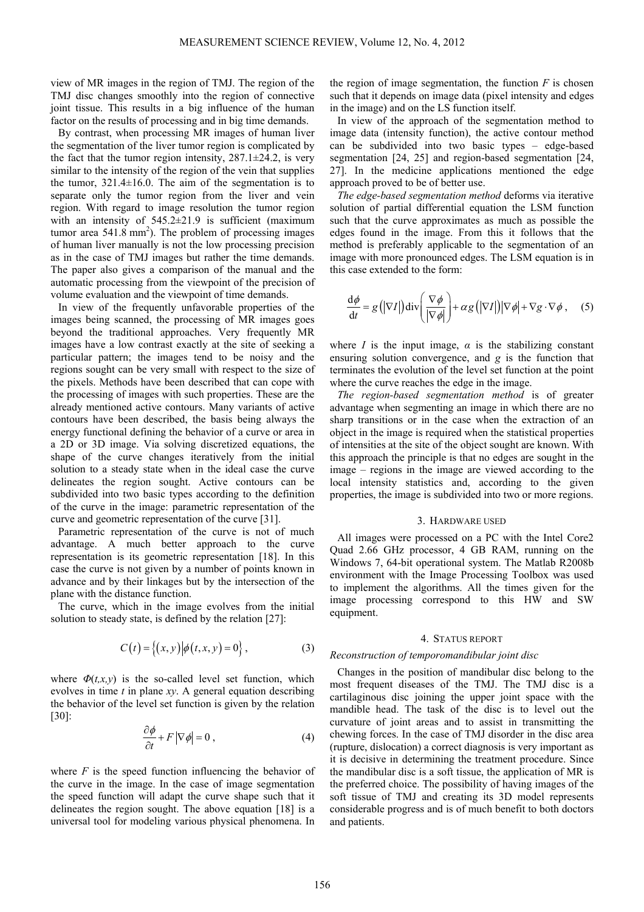view of MR images in the region of TMJ. The region of the TMJ disc changes smoothly into the region of connective joint tissue. This results in a big influence of the human factor on the results of processing and in big time demands.

By contrast, when processing MR images of human liver the segmentation of the liver tumor region is complicated by the fact that the tumor region intensity,  $287.1\pm 24.2$ , is very similar to the intensity of the region of the vein that supplies the tumor,  $321.4 \pm 16.0$ . The aim of the segmentation is to separate only the tumor region from the liver and vein region. With regard to image resolution the tumor region with an intensity of  $545.2 \pm 21.9$  is sufficient (maximum tumor area  $541.8 \text{ mm}^2$ ). The problem of processing images of human liver manually is not the low processing precision as in the case of TMJ images but rather the time demands. The paper also gives a comparison of the manual and the automatic processing from the viewpoint of the precision of volume evaluation and the viewpoint of time demands.

In view of the frequently unfavorable properties of the images being scanned, the processing of MR images goes beyond the traditional approaches. Very frequently MR images have a low contrast exactly at the site of seeking a particular pattern; the images tend to be noisy and the regions sought can be very small with respect to the size of the pixels. Methods have been described that can cope with the processing of images with such properties. These are the already mentioned active contours. Many variants of active contours have been described, the basis being always the energy functional defining the behavior of a curve or area in a 2D or 3D image. Via solving discretized equations, the shape of the curve changes iteratively from the initial solution to a steady state when in the ideal case the curve delineates the region sought. Active contours can be subdivided into two basic types according to the definition of the curve in the image: parametric representation of the curve and geometric representation of the curve [31].

Parametric representation of the curve is not of much advantage. A much better approach to the curve representation is its geometric representation [18]. In this case the curve is not given by a number of points known in advance and by their linkages but by the intersection of the plane with the distance function.

The curve, which in the image evolves from the initial solution to steady state, is defined by the relation [27]:

$$
C(t) = \{(x, y) | \phi(t, x, y) = 0 \},
$$
 (3)

where  $\Phi(t, x, y)$  is the so-called level set function, which evolves in time *t* in plane *xy*. A general equation describing the behavior of the level set function is given by the relation [30]:

$$
\frac{\partial \phi}{\partial t} + F |\nabla \phi| = 0 , \qquad (4)
$$

where  $F$  is the speed function influencing the behavior of the curve in the image. In the case of image segmentation the speed function will adapt the curve shape such that it delineates the region sought. The above equation [18] is a universal tool for modeling various physical phenomena. In

the region of image segmentation, the function  $F$  is chosen such that it depends on image data (pixel intensity and edges in the image) and on the LS function itself.

In view of the approach of the segmentation method to image data (intensity function), the active contour method can be subdivided into two basic types – edge-based segmentation [24, 25] and region-based segmentation [24, 27]. In the medicine applications mentioned the edge approach proved to be of better use.

*The edge-based segmentation method* deforms via iterative solution of partial differential equation the LSM function such that the curve approximates as much as possible the edges found in the image. From this it follows that the method is preferably applicable to the segmentation of an image with more pronounced edges. The LSM equation is in this case extended to the form:

$$
\frac{d\phi}{dt} = g(|\nabla I|) \operatorname{div} \left( \frac{\nabla \phi}{|\nabla \phi|} \right) + \alpha g(|\nabla I|) |\nabla \phi| + \nabla g \cdot \nabla \phi , \quad (5)
$$

where *I* is the input image,  $\alpha$  is the stabilizing constant ensuring solution convergence, and *g* is the function that terminates the evolution of the level set function at the point where the curve reaches the edge in the image.

*The region-based segmentation method* is of greater advantage when segmenting an image in which there are no sharp transitions or in the case when the extraction of an object in the image is required when the statistical properties of intensities at the site of the object sought are known. With this approach the principle is that no edges are sought in the image – regions in the image are viewed according to the local intensity statistics and, according to the given properties, the image is subdivided into two or more regions.

#### 3. HARDWARE USED

All images were processed on a PC with the Intel Core2 Quad 2.66 GHz processor, 4 GB RAM, running on the Windows 7, 64-bit operational system. The Matlab R2008b environment with the Image Processing Toolbox was used to implement the algorithms. All the times given for the image processing correspond to this HW and SW equipment.

# 4. STATUS REPORT

#### *Reconstruction of temporomandibular joint disc*

Changes in the position of mandibular disc belong to the most frequent diseases of the TMJ. The TMJ disc is a cartilaginous disc joining the upper joint space with the mandible head. The task of the disc is to level out the curvature of joint areas and to assist in transmitting the chewing forces. In the case of TMJ disorder in the disc area (rupture, dislocation) a correct diagnosis is very important as it is decisive in determining the treatment procedure. Since the mandibular disc is a soft tissue, the application of MR is the preferred choice. The possibility of having images of the soft tissue of TMJ and creating its 3D model represents considerable progress and is of much benefit to both doctors and patients.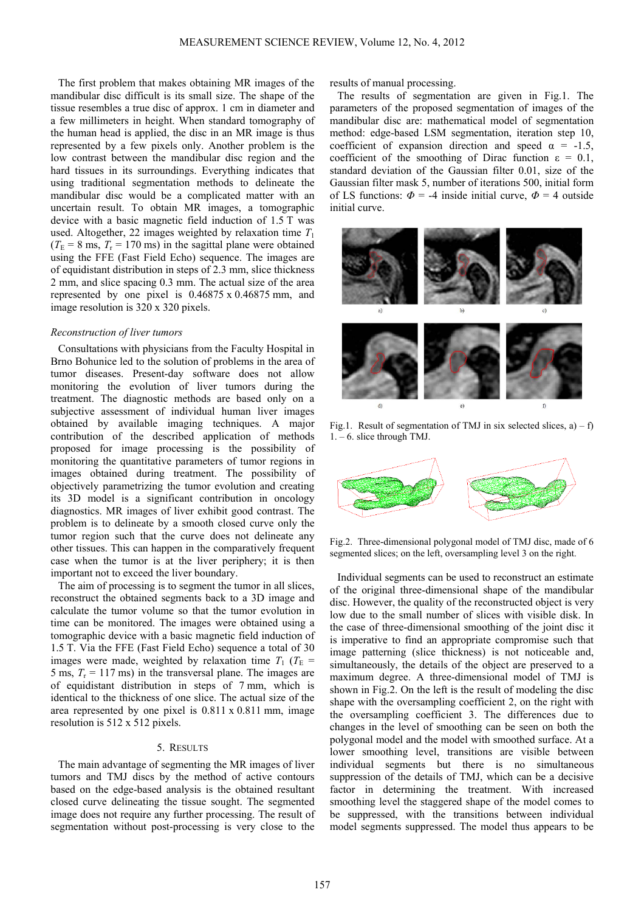The first problem that makes obtaining MR images of the mandibular disc difficult is its small size. The shape of the tissue resembles a true disc of approx. 1 cm in diameter and a few millimeters in height. When standard tomography of the human head is applied, the disc in an MR image is thus represented by a few pixels only. Another problem is the low contrast between the mandibular disc region and the hard tissues in its surroundings. Everything indicates that using traditional segmentation methods to delineate the mandibular disc would be a complicated matter with an uncertain result. To obtain MR images, a tomographic device with a basic magnetic field induction of 1.5 T was used. Altogether, 22 images weighted by relaxation time  $T_1$  $(T<sub>E</sub> = 8$  ms,  $T<sub>r</sub> = 170$  ms) in the sagittal plane were obtained using the FFE (Fast Field Echo) sequence. The images are of equidistant distribution in steps of 2.3 mm, slice thickness 2 mm, and slice spacing 0.3 mm. The actual size of the area represented by one pixel is 0.46875 x 0.46875 mm, and image resolution is 320 x 320 pixels.

#### *Reconstruction of liver tumors*

Consultations with physicians from the Faculty Hospital in Brno Bohunice led to the solution of problems in the area of tumor diseases. Present-day software does not allow monitoring the evolution of liver tumors during the treatment. The diagnostic methods are based only on a subjective assessment of individual human liver images obtained by available imaging techniques. A major contribution of the described application of methods proposed for image processing is the possibility of monitoring the quantitative parameters of tumor regions in images obtained during treatment. The possibility of objectively parametrizing the tumor evolution and creating its 3D model is a significant contribution in oncology diagnostics. MR images of liver exhibit good contrast. The problem is to delineate by a smooth closed curve only the tumor region such that the curve does not delineate any other tissues. This can happen in the comparatively frequent case when the tumor is at the liver periphery; it is then important not to exceed the liver boundary.

The aim of processing is to segment the tumor in all slices, reconstruct the obtained segments back to a 3D image and calculate the tumor volume so that the tumor evolution in time can be monitored. The images were obtained using a tomographic device with a basic magnetic field induction of 1.5 T. Via the FFE (Fast Field Echo) sequence a total of 30 images were made, weighted by relaxation time  $T_1$  ( $T_E$  = 5 ms,  $T_r = 117$  ms) in the transversal plane. The images are of equidistant distribution in steps of 7 mm, which is identical to the thickness of one slice. The actual size of the area represented by one pixel is 0.811 x 0.811 mm, image resolution is 512 x 512 pixels.

### 5. RESULTS

The main advantage of segmenting the MR images of liver tumors and TMJ discs by the method of active contours based on the edge-based analysis is the obtained resultant closed curve delineating the tissue sought. The segmented image does not require any further processing. The result of segmentation without post-processing is very close to the

results of manual processing.

The results of segmentation are given in Fig.1. The parameters of the proposed segmentation of images of the mandibular disc are: mathematical model of segmentation method: edge-based LSM segmentation, iteration step 10, coefficient of expansion direction and speed  $\alpha = -1.5$ , coefficient of the smoothing of Dirac function  $\varepsilon = 0.1$ , standard deviation of the Gaussian filter 0.01, size of the Gaussian filter mask 5, number of iterations 500, initial form of LS functions:  $\Phi = -4$  inside initial curve,  $\Phi = 4$  outside initial curve.



Fig.1. Result of segmentation of TMJ in six selected slices,  $a$ ) – f)  $1. - 6$ . slice through TMJ.



Fig.2. Three-dimensional polygonal model of TMJ disc, made of 6 segmented slices; on the left, oversampling level 3 on the right.

Individual segments can be used to reconstruct an estimate of the original three-dimensional shape of the mandibular disc. However, the quality of the reconstructed object is very low due to the small number of slices with visible disk. In the case of three-dimensional smoothing of the joint disc it is imperative to find an appropriate compromise such that image patterning (slice thickness) is not noticeable and, simultaneously, the details of the object are preserved to a maximum degree. A three-dimensional model of TMJ is shown in Fig.2. On the left is the result of modeling the disc shape with the oversampling coefficient 2, on the right with the oversampling coefficient 3. The differences due to changes in the level of smoothing can be seen on both the polygonal model and the model with smoothed surface. At a lower smoothing level, transitions are visible between individual segments but there is no simultaneous suppression of the details of TMJ, which can be a decisive factor in determining the treatment. With increased smoothing level the staggered shape of the model comes to be suppressed, with the transitions between individual model segments suppressed. The model thus appears to be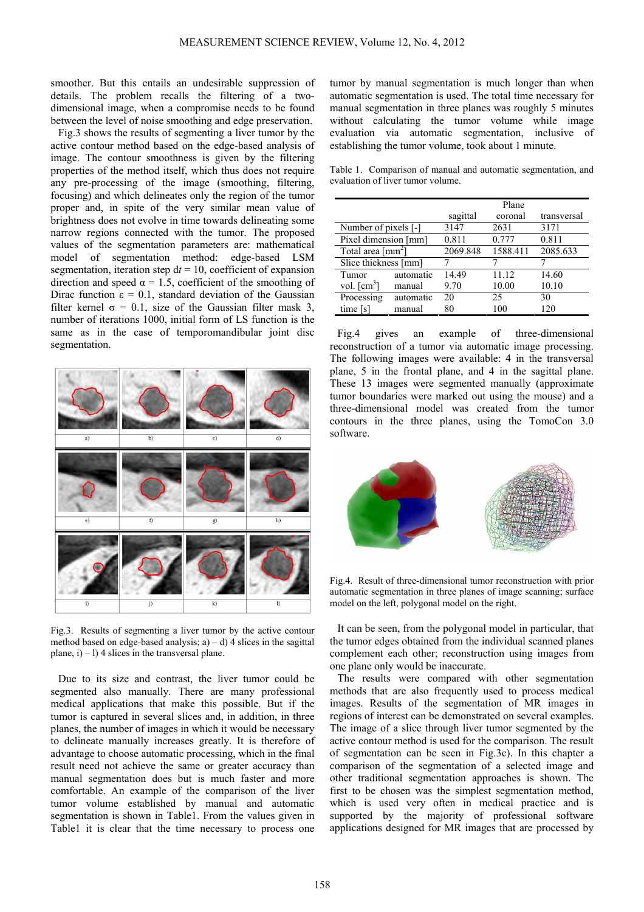smoother. But this entails an undesirable suppression of details. The problem recalls the filtering of a twodimensional image, when a compromise needs to be found between the level of noise smoothing and edge preservation.

Fig.3 shows the results of segmenting a liver tumor by the active contour method based on the edge-based analysis of image. The contour smoothness is given by the filtering properties of the method itself, which thus does not require any pre-processing of the image (smoothing, filtering, focusing) and which delineates only the region of the tumor proper and, in spite of the very similar mean value of brightness does not evolve in time towards delineating some narrow regions connected with the tumor. The proposed values of the segmentation parameters are: mathematical model of segmentation method: edge-based LSM segmentation, iteration step  $dt = 10$ , coefficient of expansion direction and speed  $\alpha = 1.5$ , coefficient of the smoothing of Dirac function  $\varepsilon = 0.1$ , standard deviation of the Gaussian filter kernel  $\sigma = 0.1$ , size of the Gaussian filter mask 3, number of iterations 1000, initial form of LS function is the same as in the case of temporomandibular joint disc segmentation.



Fig.3. Results of segmenting a liver tumor by the active contour method based on edge-based analysis;  $a$ ) – d) 4 slices in the sagittal plane,  $(i) - 1$ ) 4 slices in the transversal plane.

Due to its size and contrast, the liver tumor could be segmented also manually. There are many professional medical applications that make this possible. But if the tumor is captured in several slices and, in addition, in three planes, the number of images in which it would be necessary to delineate manually increases greatly. It is therefore of advantage to choose automatic processing, which in the final result need not achieve the same or greater accuracy than manual segmentation does but is much faster and more comfortable. An example of the comparison of the liver tumor volume established by manual and automatic segmentation is shown in Table1. From the values given in Table1 it is clear that the time necessary to process one

tumor by manual segmentation is much longer than when automatic segmentation is used. The total time necessary for manual segmentation in three planes was roughly 5 minutes without calculating the tumor volume while image evaluation via automatic segmentation, inclusive of establishing the tumor volume, took about 1 minute.

Table 1. Comparison of manual and automatic segmentation, and evaluation of liver tumor volume.

|                                        |           | Plane    |          |             |
|----------------------------------------|-----------|----------|----------|-------------|
|                                        |           | sagittal | coronal  | transversal |
| Number of pixels [-]                   |           | 3147     | 2631     | 3171        |
| Pixel dimension [mm]                   |           | 0.811    | 0.777    | 0.811       |
| Total area $\lceil$ mm <sup>2</sup>    |           | 2069.848 | 1588.411 | 2085.633    |
| Slice thickness [mm]                   |           |          |          |             |
| Tumor                                  | automatic | 14.49    | 11.12    | 14.60       |
| vol. $\lceil$ cm <sup>3</sup> $\rceil$ | manual    | 9.70     | 10.00    | 10.10       |
| Processing                             | automatic | 20       | 25       | 30          |
| time [s]                               | manual    | 80       | 100      | 120         |

Fig.4 gives an example of three-dimensional reconstruction of a tumor via automatic image processing. The following images were available: 4 in the transversal plane, 5 in the frontal plane, and 4 in the sagittal plane. These 13 images were segmented manually (approximate tumor boundaries were marked out using the mouse) and a three-dimensional model was created from the tumor contours in the three planes, using the TomoCon 3.0 software.



Fig.4. Result of three-dimensional tumor reconstruction with prior automatic segmentation in three planes of image scanning; surface model on the left, polygonal model on the right.

It can be seen, from the polygonal model in particular, that the tumor edges obtained from the individual scanned planes complement each other; reconstruction using images from one plane only would be inaccurate.

The results were compared with other segmentation methods that are also frequently used to process medical images. Results of the segmentation of MR images in regions of interest can be demonstrated on several examples. The image of a slice through liver tumor segmented by the active contour method is used for the comparison. The result of segmentation can be seen in Fig.3c). In this chapter a comparison of the segmentation of a selected image and other traditional segmentation approaches is shown. The first to be chosen was the simplest segmentation method, which is used very often in medical practice and is supported by the majority of professional software applications designed for MR images that are processed by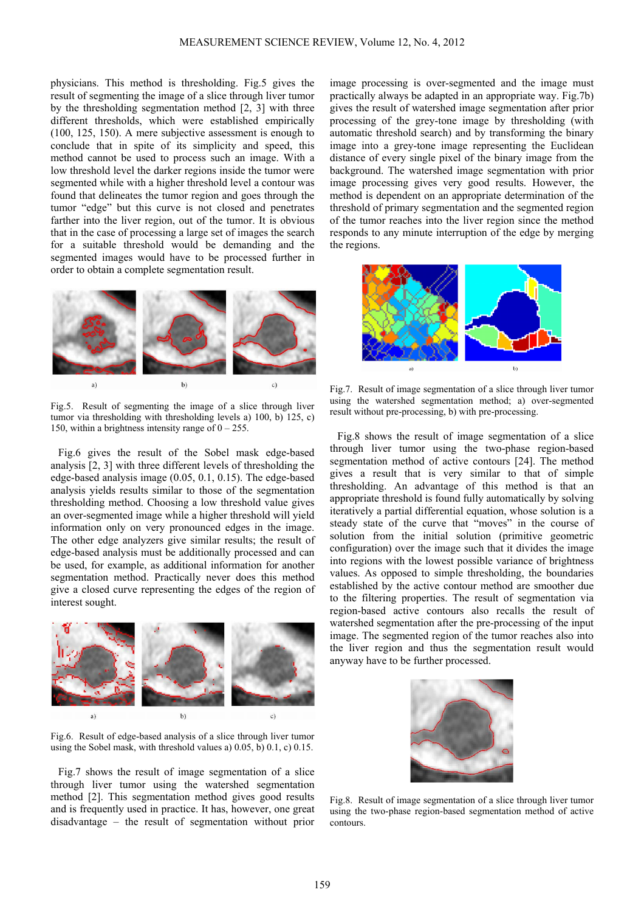physicians. This method is thresholding. Fig.5 gives the result of segmenting the image of a slice through liver tumor by the thresholding segmentation method [2, 3] with three different thresholds, which were established empirically (100, 125, 150). A mere subjective assessment is enough to conclude that in spite of its simplicity and speed, this method cannot be used to process such an image. With a low threshold level the darker regions inside the tumor were segmented while with a higher threshold level a contour was found that delineates the tumor region and goes through the tumor "edge" but this curve is not closed and penetrates farther into the liver region, out of the tumor. It is obvious that in the case of processing a large set of images the search for a suitable threshold would be demanding and the segmented images would have to be processed further in order to obtain a complete segmentation result.



Fig.5. Result of segmenting the image of a slice through liver tumor via thresholding with thresholding levels a) 100, b) 125, c) 150, within a brightness intensity range of  $0 - 255$ .

Fig.6 gives the result of the Sobel mask edge-based analysis [2, 3] with three different levels of thresholding the edge-based analysis image (0.05, 0.1, 0.15). The edge-based analysis yields results similar to those of the segmentation thresholding method. Choosing a low threshold value gives an over-segmented image while a higher threshold will yield information only on very pronounced edges in the image. The other edge analyzers give similar results; the result of edge-based analysis must be additionally processed and can be used, for example, as additional information for another segmentation method. Practically never does this method give a closed curve representing the edges of the region of interest sought.



Fig.6. Result of edge-based analysis of a slice through liver tumor using the Sobel mask, with threshold values a) 0.05, b) 0.1, c) 0.15.

Fig.7 shows the result of image segmentation of a slice through liver tumor using the watershed segmentation method [2]. This segmentation method gives good results and is frequently used in practice. It has, however, one great disadvantage – the result of segmentation without prior

image processing is over-segmented and the image must practically always be adapted in an appropriate way. Fig.7b) gives the result of watershed image segmentation after prior processing of the grey-tone image by thresholding (with automatic threshold search) and by transforming the binary image into a grey-tone image representing the Euclidean distance of every single pixel of the binary image from the background. The watershed image segmentation with prior image processing gives very good results. However, the method is dependent on an appropriate determination of the threshold of primary segmentation and the segmented region of the tumor reaches into the liver region since the method responds to any minute interruption of the edge by merging the regions.



Fig.7. Result of image segmentation of a slice through liver tumor using the watershed segmentation method; a) over-segmented result without pre-processing, b) with pre-processing.

Fig.8 shows the result of image segmentation of a slice through liver tumor using the two-phase region-based segmentation method of active contours [24]. The method gives a result that is very similar to that of simple thresholding. An advantage of this method is that an appropriate threshold is found fully automatically by solving iteratively a partial differential equation, whose solution is a steady state of the curve that "moves" in the course of solution from the initial solution (primitive geometric configuration) over the image such that it divides the image into regions with the lowest possible variance of brightness values. As opposed to simple thresholding, the boundaries established by the active contour method are smoother due to the filtering properties. The result of segmentation via region-based active contours also recalls the result of watershed segmentation after the pre-processing of the input image. The segmented region of the tumor reaches also into the liver region and thus the segmentation result would anyway have to be further processed.



Fig.8. Result of image segmentation of a slice through liver tumor using the two-phase region-based segmentation method of active contours.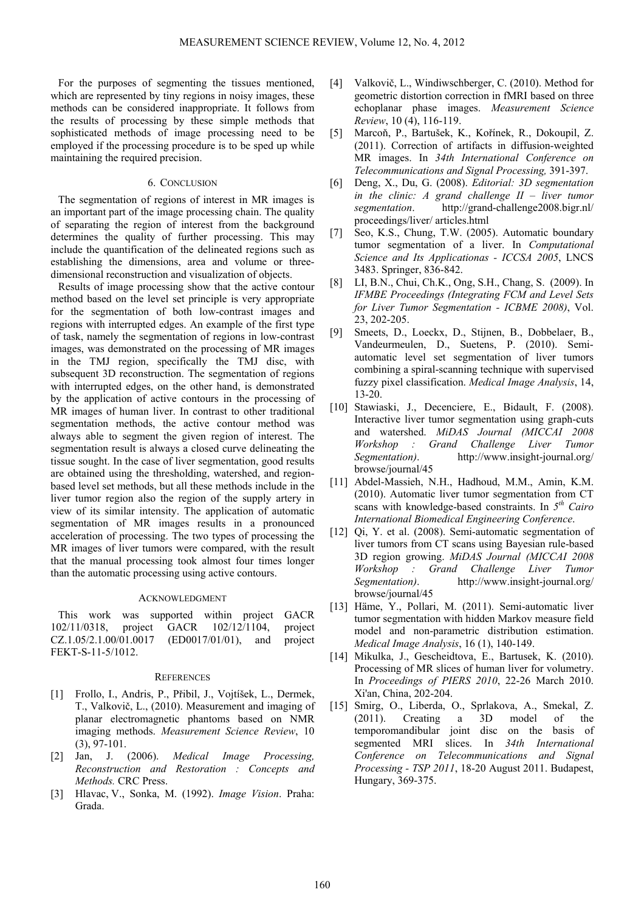For the purposes of segmenting the tissues mentioned, which are represented by tiny regions in noisy images, these methods can be considered inappropriate. It follows from the results of processing by these simple methods that sophisticated methods of image processing need to be employed if the processing procedure is to be sped up while maintaining the required precision.

# 6. CONCLUSION

The segmentation of regions of interest in MR images is an important part of the image processing chain. The quality of separating the region of interest from the background determines the quality of further processing. This may include the quantification of the delineated regions such as establishing the dimensions, area and volume or threedimensional reconstruction and visualization of objects.

Results of image processing show that the active contour method based on the level set principle is very appropriate for the segmentation of both low-contrast images and regions with interrupted edges. An example of the first type of task, namely the segmentation of regions in low-contrast images, was demonstrated on the processing of MR images in the TMJ region, specifically the TMJ disc, with subsequent 3D reconstruction. The segmentation of regions with interrupted edges, on the other hand, is demonstrated by the application of active contours in the processing of MR images of human liver. In contrast to other traditional segmentation methods, the active contour method was always able to segment the given region of interest. The segmentation result is always a closed curve delineating the tissue sought. In the case of liver segmentation, good results are obtained using the thresholding, watershed, and regionbased level set methods, but all these methods include in the liver tumor region also the region of the supply artery in view of its similar intensity. The application of automatic segmentation of MR images results in a pronounced acceleration of processing. The two types of processing the MR images of liver tumors were compared, with the result that the manual processing took almost four times longer than the automatic processing using active contours.

#### ACKNOWLEDGMENT

This work was supported within project GACR 102/11/0318, project GACR 102/12/1104, project CZ.1.05/2.1.00/01.0017 (ED0017/01/01), and project FEKT-S-11-5/1012.

#### **REFERENCES**

- [1] Frollo, I., Andris, P., Přibil, J., Vojtíšek, L., Dermek, T., Valkovič, L., (2010). Measurement and imaging of planar electromagnetic phantoms based on NMR imaging methods. *Measurement Science Review*, 10 (3), 97-101.
- [2] Jan, J. (2006). *Medical Image Processing, Reconstruction and Restoration : Concepts and Methods.* CRC Press.
- [3] Hlavac, V., Sonka, M. (1992). *Image Vision*. Praha: Grada.
- [4] Valkovič, L., Windiwschberger, C. (2010). Method for geometric distortion correction in fMRI based on three echoplanar phase images. *Measurement Science Review*, 10 (4), 116-119.
- [5] Marcoň, P., Bartušek, K., Kořínek, R., Dokoupil, Z. (2011). Correction of artifacts in diffusion-weighted MR images. In *34th International Conference on Telecommunications and Signal Processing,* 391-397.
- [6] Deng, X., Du, G. (2008). *Editorial: 3D segmentation in the clinic: A grand challenge II – liver tumor segmentation*. http://grand-challenge2008.bigr.nl/ proceedings/liver/ articles.html
- [7] Seo, K.S., Chung, T.W. (2005). Automatic boundary tumor segmentation of a liver. In *Computational Science and Its Applicationas - ICCSA 2005*, LNCS 3483. Springer, 836-842.
- [8] LI, B.N., Chui, Ch.K., Ong, S.H., Chang, S. (2009). In *IFMBE Proceedings (Integrating FCM and Level Sets for Liver Tumor Segmentation - ICBME 2008)*, Vol. 23, 202-205.
- [9] Smeets, D., Loeckx, D., Stijnen, B., Dobbelaer, B., Vandeurmeulen, D., Suetens, P. (2010). Semiautomatic level set segmentation of liver tumors combining a spiral-scanning technique with supervised fuzzy pixel classification. *Medical Image Analysis*, 14, 13-20.
- [10] Stawiaski, J., Decenciere, E., Bidault, F. (2008). Interactive liver tumor segmentation using graph-cuts and watershed. *MiDAS Journal (MICCAI 2008 Workshop : Grand Challenge Liver Tumor Segmentation)*. http://www.insight-journal.org/ browse/journal/45
- [11] Abdel-Massieh, N.H., Hadhoud, M.M., Amin, K.M. (2010). Automatic liver tumor segmentation from CT scans with knowledge-based constraints. In *5th Cairo International Biomedical Engineering Conference*.
- [12] Qi, Y. et al. (2008). Semi-automatic segmentation of liver tumors from CT scans using Bayesian rule-based 3D region growing. *MiDAS Journal (MICCAI 2008 Workshop : Grand Challenge Liver Tumor Segmentation)*. http://www.insight-journal.org/ browse/journal/45
- [13] Häme, Y., Pollari, M. (2011). Semi-automatic liver tumor segmentation with hidden Markov measure field model and non-parametric distribution estimation. *Medical Image Analysis*, 16 (1), 140-149.
- [14] Mikulka, J., Gescheidtova, E., Bartusek, K. (2010). Processing of MR slices of human liver for volumetry. In *Proceedings of PIERS 2010*, 22-26 March 2010. Xi'an, China, 202-204.
- [15] Smirg, O., Liberda, O., Sprlakova, A., Smekal, Z. (2011). Creating a 3D model of the temporomandibular joint disc on the basis of segmented MRI slices. In *34th International Conference on Telecommunications and Signal Processing - TSP 2011*, 18-20 August 2011. Budapest, Hungary, 369-375.